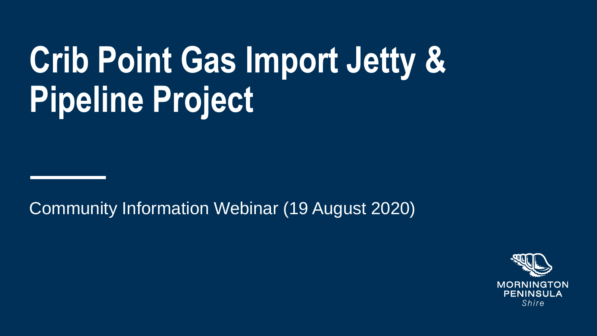# **Crib Point Gas Import Jetty & Pipeline Project**

Community Information Webinar (19 August 2020)

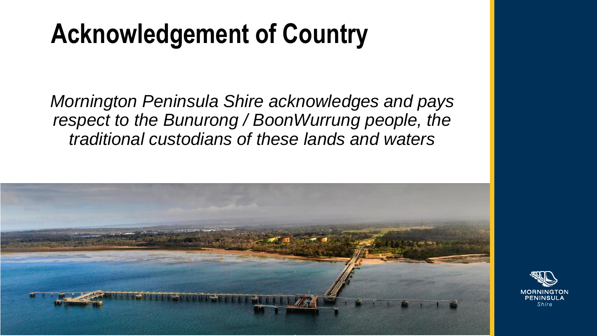#### **Acknowledgement of Country**

*Mornington Peninsula Shire acknowledges and pays respect to the Bunurong / BoonWurrung people, the traditional custodians of these lands and waters*



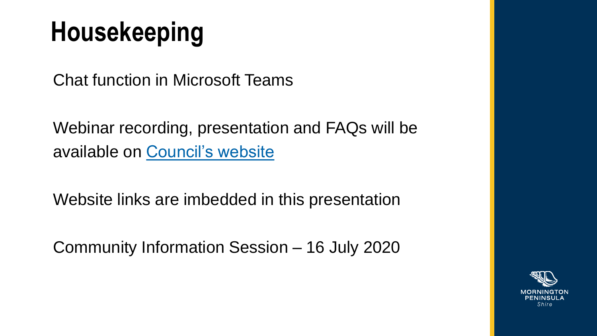#### **Housekeeping**

Chat function in Microsoft Teams

Webinar recording, presentation and FAQs will be available on [Council's website](https://www.mornpen.vic.gov.au/Building-Planning/Strategic-Planning/AGL-Crib-Point-Gas-Import-Jetty-and-Pipeline-Project)

Website links are imbedded in this presentation

Community Information Session – 16 July 2020

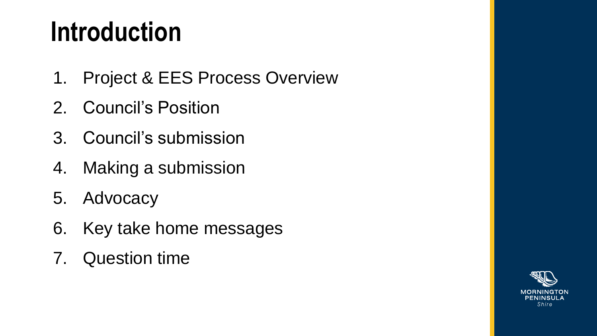#### **Introduction**

- 1. Project & EES Process Overview
- 2. Council's Position
- 3. Council's submission
- 4. Making a submission
- 5. Advocacy
- 6. Key take home messages
- 7. Question time

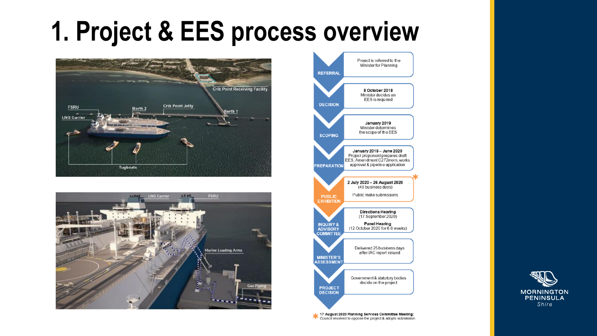#### **1. Project & EES process overview**







17 August 2020 Planning Services Committee Meeting: Council resolved to oppose the project & adopts submission

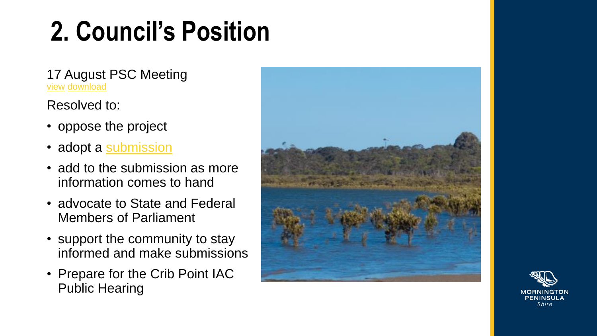#### **2. Council's Position**

17 August PSC Meeting [view](https://www.youtube.com/watch?v=F_NpbSXHZqY&feature=youtu.be) [download](https://www.mornpen.vic.gov.au/About-Us/About-Our-Council/Council-Meetings/CouncilCommittee-Meeting-Agendas-and-Minutes)

#### Resolved to:

- oppose the project
- adopt a [submission](../EES Submission/Mornington Peninsula Shire Submission.pdf)
- add to the submission as more information comes to hand
- advocate to State and Federal Members of Parliament
- support the community to stay informed and make submissions
- Prepare for the Crib Point IAC Public Hearing



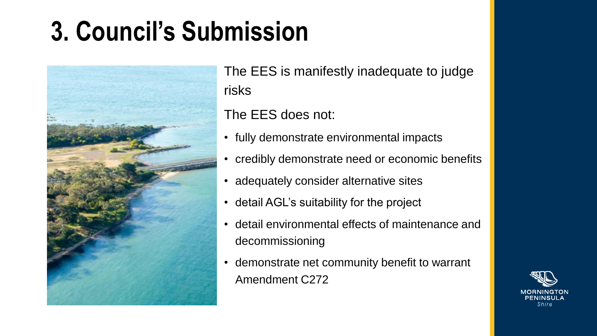#### **3. Council's Submission**



The EES is manifestly inadequate to judge risks

The EES does not:

- fully demonstrate environmental impacts
- credibly demonstrate need or economic benefits
- adequately consider alternative sites
- detail AGL's suitability for the project
- detail environmental effects of maintenance and decommissioning
- demonstrate net community benefit to warrant Amendment C272

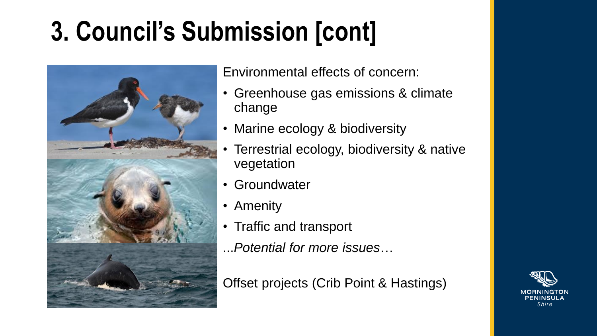## **3. Council's Submission [cont]**



Environmental effects of concern:

- Greenhouse gas emissions & climate change
- Marine ecology & biodiversity
- Terrestrial ecology, biodiversity & native vegetation
- Groundwater
- Amenity
- Traffic and transport
- ...*Potential for more issues*…

Offset projects (Crib Point & Hastings)

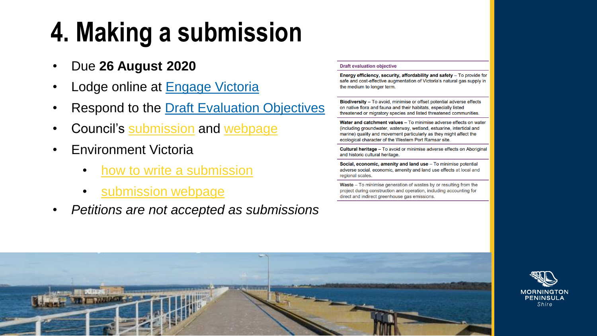## **4. Making a submission**

- Due **26 August 2020**
- Lodge online at [Engage Victoria](https://engage.vic.gov.au/crib-point-IAC)
- **Respond to the [Draft Evaluation Objectives](https://www.planning.vic.gov.au/__data/assets/pdf_file/0031/409936/Att-1_Crib-Point-EES-scoping-requirements_FINAL.pdf)**
- Council's [submission](../EES Submission/Mornington Peninsula Shire Submission.pdf) and [webpage](https://www.mornpen.vic.gov.au/Building-Planning/Strategic-Planning/AGL-APA-Group-Crib-Point-Gas-Import-Jetty-and-Pipeline-Project)
- Environment Victoria
	- [how to write a submission](https://environmentvictoria.org.au/how-to-write-a-submission-opposing-agls-gas-import-terminal/)
	- [submission webpage](https://environmentvictoria.org.au/build-submission/)
- *Petitions are not accepted as submissions*

#### **Draft evaluation objective**

Energy efficiency, security, affordability and safety - To provide for safe and cost-effective augmentation of Victoria's natural gas supply in the medium to longer term.

Biodiversity - To avoid, minimise or offset potential adverse effects on native flora and fauna and their habitats, especially listed threatened or migratory species and listed threatened communities.

Water and catchment values - To minimise adverse effects on water (including groundwater, waterway, wetland, estuarine, intertidal and marine) quality and movement particularly as they might affect the ecological character of the Western Port Ramsar site.

**Cultural heritage** – To avoid or minimise adverse effects on Aboriginal and historic cultural heritage.

Social, economic, amenity and land use - To minimise potential adverse social, economic, amenity and land use effects at local and regional scales.

Waste - To minimise generation of wastes by or resulting from the project during construction and operation, including accounting for direct and indirect greenhouse gas emissions.



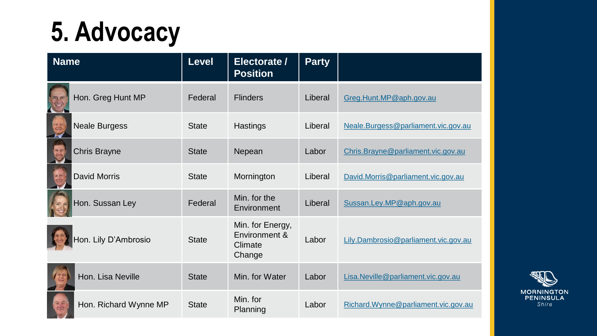#### **5. Advocacy**

| <b>Name</b>                      | <b>Level</b> | Electorate /<br><b>Position</b>                        | <b>Party</b> |                                      |
|----------------------------------|--------------|--------------------------------------------------------|--------------|--------------------------------------|
| Hon. Greg Hunt MP                | Federal      | <b>Flinders</b>                                        | Liberal      | Greg.Hunt.MP@aph.gov.au              |
| <b>Neale Burgess</b>             | <b>State</b> | Hastings                                               | Liberal      | Neale.Burgess@parliament.vic.gov.au  |
| Chris Brayne                     | <b>State</b> | Nepean                                                 | Labor        | Chris.Brayne@parliament.vic.gov.au   |
| <b>David Morris</b>              | <b>State</b> | Mornington                                             | Liberal      | David.Morris@parliament.vic.gov.au   |
| Hon. Sussan Ley                  | Federal      | Min. for the<br>Environment                            | Liberal      | Sussan.Ley.MP@aph.gov.au             |
| Ion. Lily D'Ambrosio             | <b>State</b> | Min. for Energy,<br>Environment &<br>Climate<br>Change | Labor        | Lily.Dambrosio@parliament.vic.gov.au |
| Hon. Lisa Neville                | <b>State</b> | Min. for Water                                         | Labor        | Lisa.Neville@parliament.vic.gov.au   |
| an<br>C<br>Hon. Richard Wynne MP | <b>State</b> | Min. for<br>Planning                                   | Labor        | Richard.Wynne@parliament.vic.gov.au  |

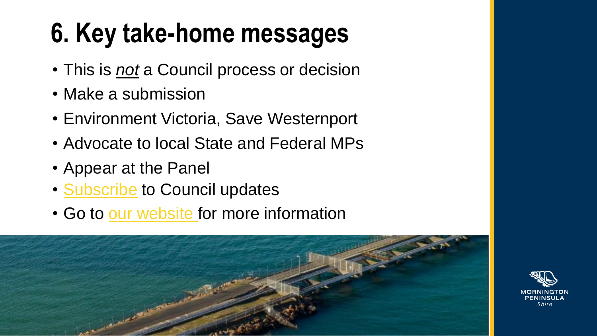#### **6. Key take-home messages**

- This is *not* a Council process or decision
- Make a submission
- Environment Victoria, Save Westernport
- Advocate to local State and Federal MPs
- Appear at the Panel
- [Subscribe](https://au.openforms.com/Form/9f0fc83d-3139-4b1a-8342-f8eae69c89a7) to Council updates
- Go to [our website f](https://www.mornpen.vic.gov.au/Building-Planning/Strategic-Planning/AGL-APA-Group-Crib-Point-Gas-Import-Jetty-and-Pipeline-Project)or more information



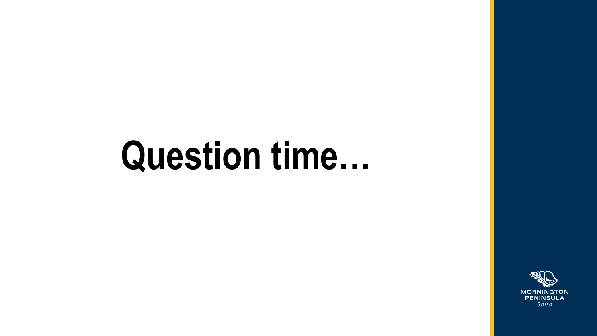# Question time...